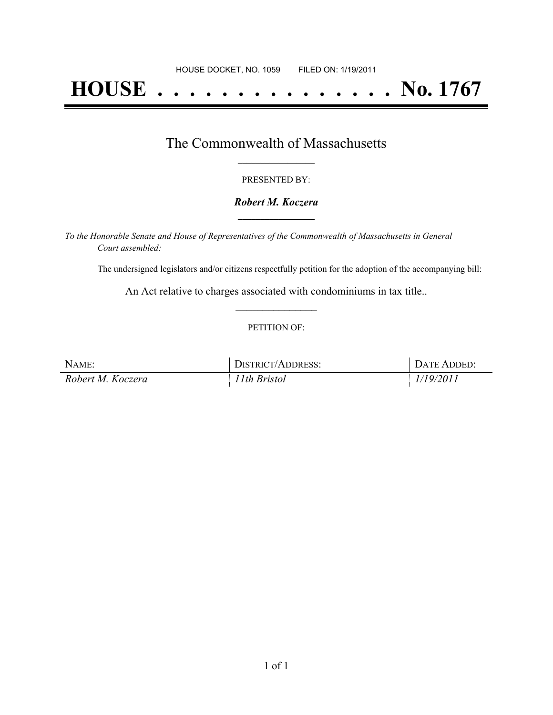# **HOUSE . . . . . . . . . . . . . . . No. 1767**

## The Commonwealth of Massachusetts **\_\_\_\_\_\_\_\_\_\_\_\_\_\_\_\_\_**

#### PRESENTED BY:

#### *Robert M. Koczera* **\_\_\_\_\_\_\_\_\_\_\_\_\_\_\_\_\_**

*To the Honorable Senate and House of Representatives of the Commonwealth of Massachusetts in General Court assembled:*

The undersigned legislators and/or citizens respectfully petition for the adoption of the accompanying bill:

An Act relative to charges associated with condominiums in tax title.. **\_\_\_\_\_\_\_\_\_\_\_\_\_\_\_**

#### PETITION OF:

| NAME:             | DISTRICT/ADDRESS: | DATE ADDED: |
|-------------------|-------------------|-------------|
| Robert M. Koczera | 11th Bristol      | 1/19/2011   |